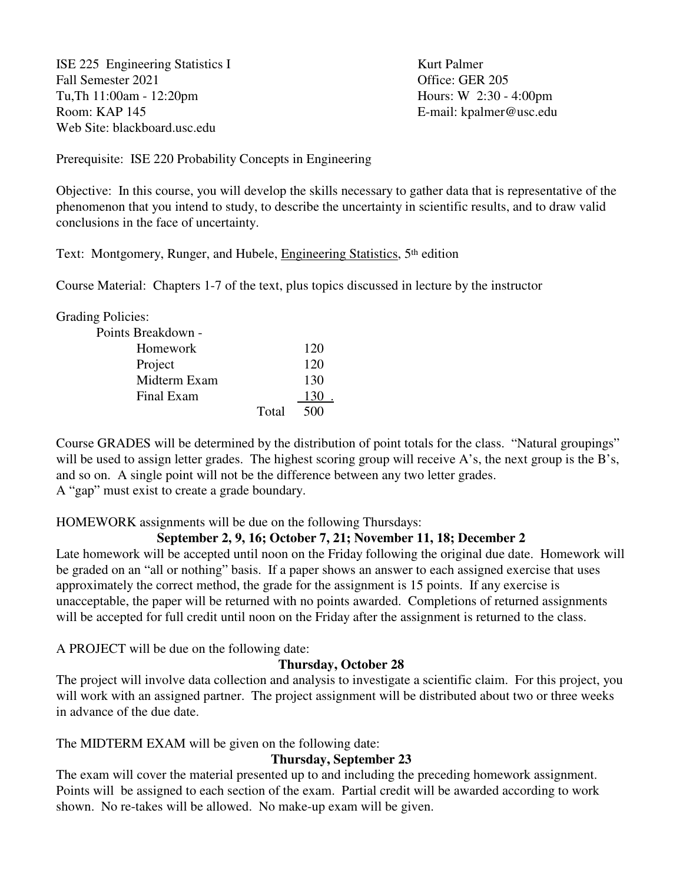ISE 225 Engineering Statistics I Kurt Palmer Fall Semester 2021 Office: GER 205 Tu,Th 11:00am - 12:20pm Hours: W 2:30 - 4:00pm Room: KAP 145 E-mail: kpalmer@usc.edu Web Site: blackboard.usc.edu

Prerequisite: ISE 220 Probability Concepts in Engineering

Objective: In this course, you will develop the skills necessary to gather data that is representative of the phenomenon that you intend to study, to describe the uncertainty in scientific results, and to draw valid conclusions in the face of uncertainty.

Text: Montgomery, Runger, and Hubele, Engineering Statistics, 5<sup>th</sup> edition

Course Material: Chapters 1-7 of the text, plus topics discussed in lecture by the instructor

Grading Policies:

| Points Breakdown - |     |
|--------------------|-----|
| Homework           | 120 |
| Project            | 120 |
| Midterm Exam       | 130 |
| Final Exam         | 130 |
| Total              | 500 |

Course GRADES will be determined by the distribution of point totals for the class. "Natural groupings" will be used to assign letter grades. The highest scoring group will receive A's, the next group is the B's, and so on. A single point will not be the difference between any two letter grades. A "gap" must exist to create a grade boundary.

HOMEWORK assignments will be due on the following Thursdays:

# **September 2, 9, 16; October 7, 21; November 11, 18; December 2**

Late homework will be accepted until noon on the Friday following the original due date. Homework will be graded on an "all or nothing" basis. If a paper shows an answer to each assigned exercise that uses approximately the correct method, the grade for the assignment is 15 points. If any exercise is unacceptable, the paper will be returned with no points awarded. Completions of returned assignments will be accepted for full credit until noon on the Friday after the assignment is returned to the class.

A PROJECT will be due on the following date:

# **Thursday, October 28**

The project will involve data collection and analysis to investigate a scientific claim. For this project, you will work with an assigned partner. The project assignment will be distributed about two or three weeks in advance of the due date.

The MIDTERM EXAM will be given on the following date:

# **Thursday, September 23**

The exam will cover the material presented up to and including the preceding homework assignment. Points will be assigned to each section of the exam. Partial credit will be awarded according to work shown. No re-takes will be allowed. No make-up exam will be given.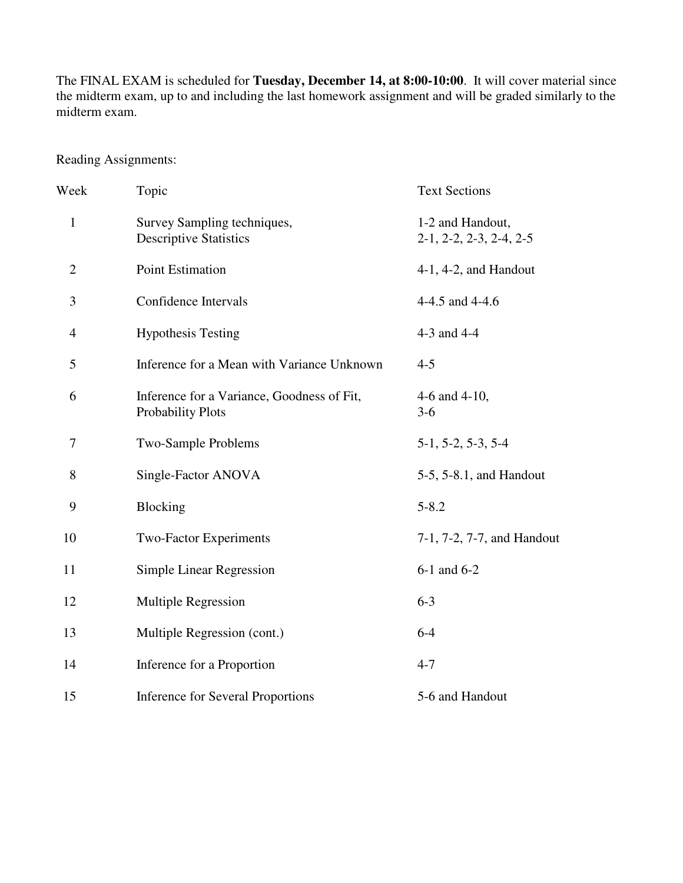The FINAL EXAM is scheduled for **Tuesday, December 14, at 8:00-10:00**. It will cover material since the midterm exam, up to and including the last homework assignment and will be graded similarly to the midterm exam.

Reading Assignments:

| Week           | Topic                                                           | <b>Text Sections</b>                          |
|----------------|-----------------------------------------------------------------|-----------------------------------------------|
| $\mathbf{1}$   | Survey Sampling techniques,<br><b>Descriptive Statistics</b>    | 1-2 and Handout,<br>$2-1, 2-2, 2-3, 2-4, 2-5$ |
| $\overline{2}$ | Point Estimation                                                | $4-1$ , $4-2$ , and Handout                   |
| 3              | Confidence Intervals                                            | 4-4.5 and 4-4.6                               |
| $\overline{4}$ | <b>Hypothesis Testing</b>                                       | 4-3 and 4-4                                   |
| 5              | Inference for a Mean with Variance Unknown                      | $4 - 5$                                       |
| 6              | Inference for a Variance, Goodness of Fit,<br>Probability Plots | 4-6 and 4-10,<br>$3-6$                        |
| 7              | Two-Sample Problems                                             | $5-1, 5-2, 5-3, 5-4$                          |
| 8              | Single-Factor ANOVA                                             | 5-5, 5-8.1, and Handout                       |
| 9              | Blocking                                                        | $5 - 8.2$                                     |
| 10             | <b>Two-Factor Experiments</b>                                   | 7-1, 7-2, 7-7, and Handout                    |
| 11             | Simple Linear Regression                                        | 6-1 and 6-2                                   |
| 12             | Multiple Regression                                             | $6 - 3$                                       |
| 13             | Multiple Regression (cont.)                                     | $6 - 4$                                       |
| 14             | Inference for a Proportion                                      | $4 - 7$                                       |
| 15             | <b>Inference for Several Proportions</b>                        | 5-6 and Handout                               |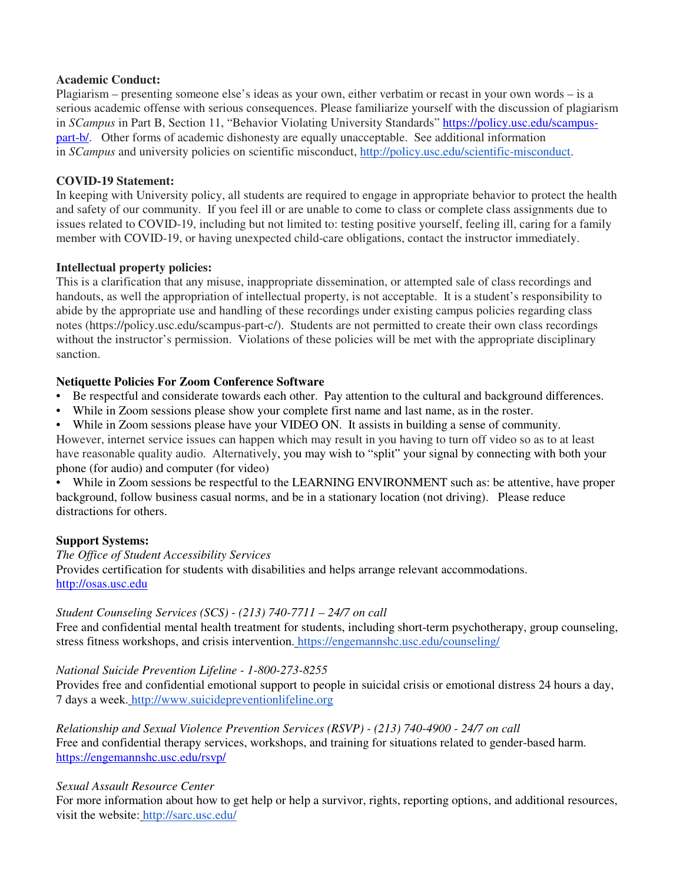#### **Academic Conduct:**

Plagiarism – presenting someone else's ideas as your own, either verbatim or recast in your own words – is a serious academic offense with serious consequences. Please familiarize yourself with the discussion of plagiarism in *SCampus* in Part B, Section 11, "Behavior Violating University Standards" https://policy.usc.edu/scampuspart-b/. Other forms of academic dishonesty are equally unacceptable. See additional information in *SCampus* and university policies on scientific misconduct, http://policy.usc.edu/scientific-misconduct.

#### **COVID-19 Statement:**

In keeping with University policy, all students are required to engage in appropriate behavior to protect the health and safety of our community. If you feel ill or are unable to come to class or complete class assignments due to issues related to COVID-19, including but not limited to: testing positive yourself, feeling ill, caring for a family member with COVID-19, or having unexpected child-care obligations, contact the instructor immediately.

#### **Intellectual property policies:**

This is a clarification that any misuse, inappropriate dissemination, or attempted sale of class recordings and handouts, as well the appropriation of intellectual property, is not acceptable. It is a student's responsibility to abide by the appropriate use and handling of these recordings under existing campus policies regarding class notes (https://policy.usc.edu/scampus-part-c/). Students are not permitted to create their own class recordings without the instructor's permission. Violations of these policies will be met with the appropriate disciplinary sanction.

### **Netiquette Policies For Zoom Conference Software**

- Be respectful and considerate towards each other. Pay attention to the cultural and background differences.
- While in Zoom sessions please show your complete first name and last name, as in the roster.
- While in Zoom sessions please have your VIDEO ON. It assists in building a sense of community.

However, internet service issues can happen which may result in you having to turn off video so as to at least have reasonable quality audio. Alternatively, you may wish to "split" your signal by connecting with both your phone (for audio) and computer (for video)

• While in Zoom sessions be respectful to the LEARNING ENVIRONMENT such as: be attentive, have proper background, follow business casual norms, and be in a stationary location (not driving). Please reduce distractions for others.

#### **Support Systems:**

*The Office of Student Accessibility Services*  Provides certification for students with disabilities and helps arrange relevant accommodations. http://osas.usc.edu

#### *Student Counseling Services (SCS) - (213) 740-7711 – 24/7 on call*

Free and confidential mental health treatment for students, including short-term psychotherapy, group counseling, stress fitness workshops, and crisis intervention. https://engemannshc.usc.edu/counseling/

*National Suicide Prevention Lifeline - 1-800-273-8255* 

Provides free and confidential emotional support to people in suicidal crisis or emotional distress 24 hours a day, 7 days a week. http://www.suicidepreventionlifeline.org

*Relationship and Sexual Violence Prevention Services (RSVP) - (213) 740-4900 - 24/7 on call*  Free and confidential therapy services, workshops, and training for situations related to gender-based harm. https://engemannshc.usc.edu/rsvp/

### *Sexual Assault Resource Center*

For more information about how to get help or help a survivor, rights, reporting options, and additional resources, visit the website: http://sarc.usc.edu/